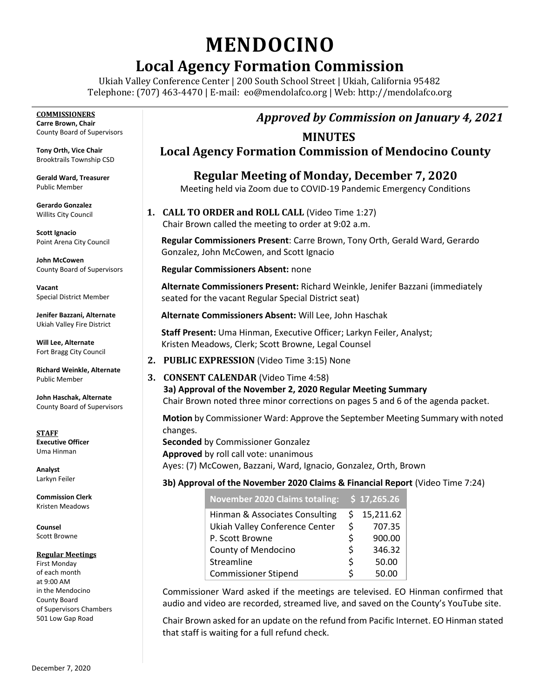# **MENDOCINO**

# **Local Agency Formation Commission**

Ukiah Valley Conference Center | 200 South School Street | Ukiah, California 95482 Telephone: (707) 463-4470 | E-mail: [eo@mendolafco.org](mailto:eo@mendolafco.org) | Web: http://mendolafco.org

**COMMISSIONERS Carre Brown, Chair** County Board of Supervisors

**Tony Orth, Vice Chair** Brooktrails Township CSD

**Gerald Ward, Treasurer** Public Member

**Gerardo Gonzalez** Willits City Council

**Scott Ignacio** Point Arena City Council

**John McCowen** County Board of Supervisors

**Vacant** Special District Member

**Jenifer Bazzani, Alternate** Ukiah Valley Fire District

**Will Lee, Alternate** Fort Bragg City Council

**Richard Weinkle, Alternate** Public Member

**John Haschak, Alternate** County Board of Supervisors

**STAFF Executive Officer** Uma Hinman

**Analyst** Larkyn Feiler

**Commission Clerk** Kristen Meadows

**Counsel** Scott Browne

#### **Regular Meetings**

First Monday of each month at 9:00 AM in the Mendocino County Board of Supervisors Chambers 501 Low Gap Road

### *Approved by Commission on January 4, 2021*

### **MINUTES**

**Local Agency Formation Commission of Mendocino County**

**Regular Meeting of Monday, December 7, 2020** Meeting held via Zoom due to COVID-19 Pandemic Emergency Conditions

**1. CALL TO ORDER and ROLL CALL** (Video Time 1:27) Chair Brown called the meeting to order at 9:02 a.m.

**Regular Commissioners Present**: Carre Brown, Tony Orth, Gerald Ward, Gerardo Gonzalez, John McCowen, and Scott Ignacio

**Regular Commissioners Absent:** none

**Alternate Commissioners Present:** Richard Weinkle, Jenifer Bazzani (immediately seated for the vacant Regular Special District seat)

**Alternate Commissioners Absent:** Will Lee, John Haschak

**Staff Present:** Uma Hinman, Executive Officer; Larkyn Feiler, Analyst; Kristen Meadows, Clerk; Scott Browne, Legal Counsel

- **2. PUBLIC EXPRESSION** (Video Time 3:15) None
- **3. CONSENT CALENDAR** (Video Time 4:58) **3a) Approval of the November 2, 2020 Regular Meeting Summary** Chair Brown noted three minor corrections on pages 5 and 6 of the agenda packet.

**Motion** by Commissioner Ward: Approve the September Meeting Summary with noted changes.

**Seconded** by Commissioner Gonzalez **Approved** by roll call vote: unanimous Ayes: (7) McCowen, Bazzani, Ward, Ignacio, Gonzalez, Orth, Brown

#### **3b) Approval of the November 2020 Claims & Financial Report** (Video Time 7:24)

| November 2020 Claims totaling: \$17,265.26 |    |           |
|--------------------------------------------|----|-----------|
| Hinman & Associates Consulting             | S. | 15,211.62 |
| Ukiah Valley Conference Center             | Ś  | 707.35    |
| P. Scott Browne                            | ς  | 900.00    |
| County of Mendocino                        | Ś  | 346.32    |
| Streamline                                 | ς  | 50.00     |
| <b>Commissioner Stipend</b>                |    | 50.00     |

Commissioner Ward asked if the meetings are televised. EO Hinman confirmed that audio and video are recorded, streamed live, and saved on the County's YouTube site.

Chair Brown asked for an update on the refund from Pacific Internet. EO Hinman stated that staff is waiting for a full refund check.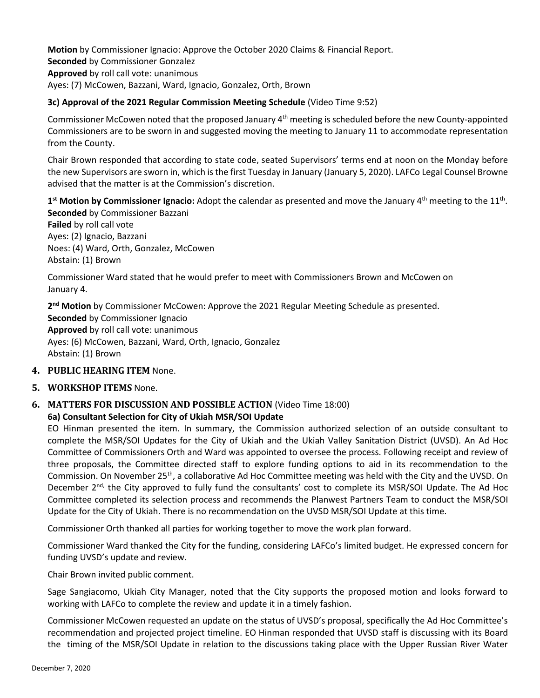**Motion** by Commissioner Ignacio: Approve the October 2020 Claims & Financial Report. **Seconded** by Commissioner Gonzalez **Approved** by roll call vote: unanimous Ayes: (7) McCowen, Bazzani, Ward, Ignacio, Gonzalez, Orth, Brown

#### **3c) Approval of the 2021 Regular Commission Meeting Schedule** (Video Time 9:52)

Commissioner McCowen noted that the proposed January 4th meeting is scheduled before the new County-appointed Commissioners are to be sworn in and suggested moving the meeting to January 11 to accommodate representation from the County.

Chair Brown responded that according to state code, seated Supervisors' terms end at noon on the Monday before the new Supervisors are sworn in, which is the first Tuesday in January (January 5, 2020). LAFCo Legal Counsel Browne advised that the matter is at the Commission's discretion.

1<sup>st</sup> Motion by Commissioner Ignacio: Adopt the calendar as presented and move the January 4<sup>th</sup> meeting to the 11<sup>th</sup>. **Seconded** by Commissioner Bazzani

**Failed** by roll call vote Ayes: (2) Ignacio, Bazzani Noes: (4) Ward, Orth, Gonzalez, McCowen Abstain: (1) Brown

Commissioner Ward stated that he would prefer to meet with Commissioners Brown and McCowen on January 4.

**2 nd Motion** by Commissioner McCowen: Approve the 2021 Regular Meeting Schedule as presented. **Seconded** by Commissioner Ignacio **Approved** by roll call vote: unanimous Ayes: (6) McCowen, Bazzani, Ward, Orth, Ignacio, Gonzalez Abstain: (1) Brown

#### **4. PUBLIC HEARING ITEM** None.

**5. WORKSHOP ITEMS** None.

## **6. MATTERS FOR DISCUSSION AND POSSIBLE ACTION** (Video Time 18:00)

#### **6a) Consultant Selection for City of Ukiah MSR/SOI Update**

EO Hinman presented the item. In summary, the Commission authorized selection of an outside consultant to complete the MSR/SOI Updates for the City of Ukiah and the Ukiah Valley Sanitation District (UVSD). An Ad Hoc Committee of Commissioners Orth and Ward was appointed to oversee the process. Following receipt and review of three proposals, the Committee directed staff to explore funding options to aid in its recommendation to the Commission. On November 25<sup>th</sup>, a collaborative Ad Hoc Committee meeting was held with the City and the UVSD. On December 2<sup>nd,</sup> the City approved to fully fund the consultants' cost to complete its MSR/SOI Update. The Ad Hoc Committee completed its selection process and recommends the Planwest Partners Team to conduct the MSR/SOI Update for the City of Ukiah. There is no recommendation on the UVSD MSR/SOI Update at this time.

Commissioner Orth thanked all parties for working together to move the work plan forward.

Commissioner Ward thanked the City for the funding, considering LAFCo's limited budget. He expressed concern for funding UVSD's update and review.

Chair Brown invited public comment.

Sage Sangiacomo, Ukiah City Manager, noted that the City supports the proposed motion and looks forward to working with LAFCo to complete the review and update it in a timely fashion.

Commissioner McCowen requested an update on the status of UVSD's proposal, specifically the Ad Hoc Committee's recommendation and projected project timeline. EO Hinman responded that UVSD staff is discussing with its Board the timing of the MSR/SOI Update in relation to the discussions taking place with the Upper Russian River Water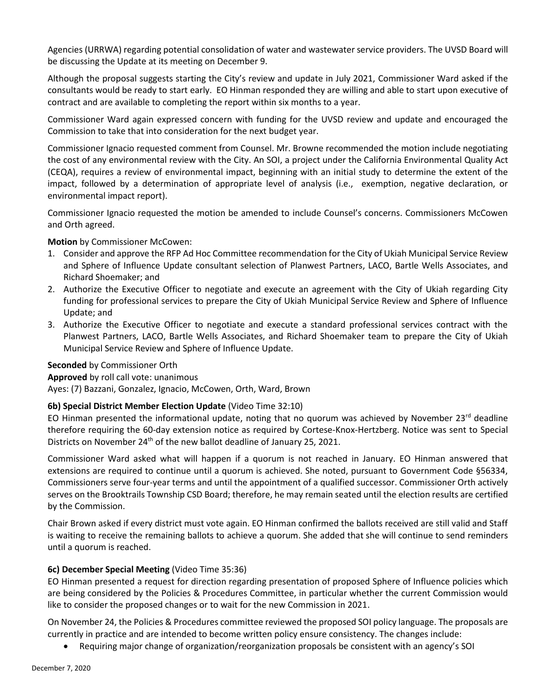Agencies (URRWA) regarding potential consolidation of water and wastewater service providers. The UVSD Board will be discussing the Update at its meeting on December 9.

Although the proposal suggests starting the City's review and update in July 2021, Commissioner Ward asked if the consultants would be ready to start early. EO Hinman responded they are willing and able to start upon executive of contract and are available to completing the report within six months to a year.

Commissioner Ward again expressed concern with funding for the UVSD review and update and encouraged the Commission to take that into consideration for the next budget year.

Commissioner Ignacio requested comment from Counsel. Mr. Browne recommended the motion include negotiating the cost of any environmental review with the City. An SOI, a project under the California Environmental Quality Act (CEQA), requires a review of environmental impact, beginning with an initial study to determine the extent of the impact, followed by a determination of appropriate level of analysis (i.e., exemption, negative declaration, or environmental impact report).

Commissioner Ignacio requested the motion be amended to include Counsel's concerns. Commissioners McCowen and Orth agreed.

**Motion** by Commissioner McCowen:

- 1. Consider and approve the RFP Ad Hoc Committee recommendation for the City of Ukiah Municipal Service Review and Sphere of Influence Update consultant selection of Planwest Partners, LACO, Bartle Wells Associates, and Richard Shoemaker; and
- 2. Authorize the Executive Officer to negotiate and execute an agreement with the City of Ukiah regarding City funding for professional services to prepare the City of Ukiah Municipal Service Review and Sphere of Influence Update; and
- 3. Authorize the Executive Officer to negotiate and execute a standard professional services contract with the Planwest Partners, LACO, Bartle Wells Associates, and Richard Shoemaker team to prepare the City of Ukiah Municipal Service Review and Sphere of Influence Update.

#### **Seconded** by Commissioner Orth

**Approved** by roll call vote: unanimous

Ayes: (7) Bazzani, Gonzalez, Ignacio, McCowen, Orth, Ward, Brown

#### **6b) Special District Member Election Update** (Video Time 32:10)

EO Hinman presented the informational update, noting that no quorum was achieved by November 23<sup>rd</sup> deadline therefore requiring the 60-day extension notice as required by Cortese-Knox-Hertzberg. Notice was sent to Special Districts on November 24<sup>th</sup> of the new ballot deadline of January 25, 2021.

Commissioner Ward asked what will happen if a quorum is not reached in January. EO Hinman answered that extensions are required to continue until a quorum is achieved. She noted, pursuant to Government Code §56334, Commissioners serve four-year terms and until the appointment of a qualified successor. Commissioner Orth actively serves on the Brooktrails Township CSD Board; therefore, he may remain seated until the election results are certified by the Commission.

Chair Brown asked if every district must vote again. EO Hinman confirmed the ballots received are still valid and Staff is waiting to receive the remaining ballots to achieve a quorum. She added that she will continue to send reminders until a quorum is reached.

#### **6c) December Special Meeting** (Video Time 35:36)

EO Hinman presented a request for direction regarding presentation of proposed Sphere of Influence policies which are being considered by the Policies & Procedures Committee, in particular whether the current Commission would like to consider the proposed changes or to wait for the new Commission in 2021.

On November 24, the Policies & Procedures committee reviewed the proposed SOI policy language. The proposals are currently in practice and are intended to become written policy ensure consistency. The changes include:

• Requiring major change of organization/reorganization proposals be consistent with an agency's SOI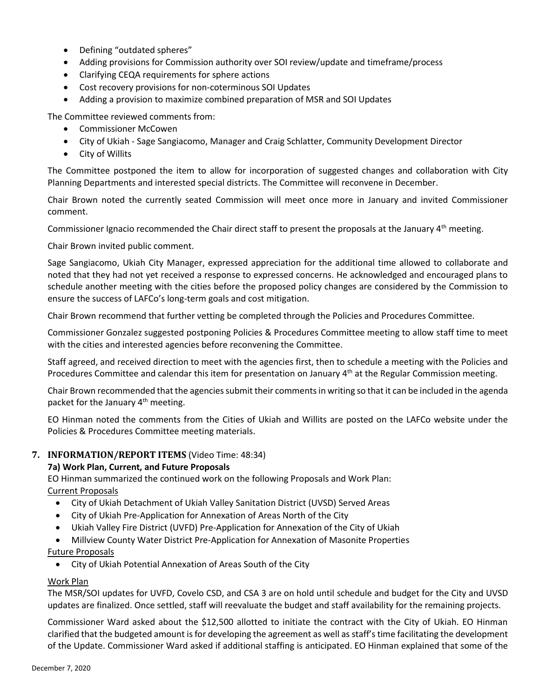- Defining "outdated spheres"
- Adding provisions for Commission authority over SOI review/update and timeframe/process
- Clarifying CEQA requirements for sphere actions
- Cost recovery provisions for non-coterminous SOI Updates
- Adding a provision to maximize combined preparation of MSR and SOI Updates

The Committee reviewed comments from:

- Commissioner McCowen
- City of Ukiah Sage Sangiacomo, Manager and Craig Schlatter, Community Development Director
- City of Willits

The Committee postponed the item to allow for incorporation of suggested changes and collaboration with City Planning Departments and interested special districts. The Committee will reconvene in December.

Chair Brown noted the currently seated Commission will meet once more in January and invited Commissioner comment.

Commissioner Ignacio recommended the Chair direct staff to present the proposals at the January 4<sup>th</sup> meeting.

Chair Brown invited public comment.

Sage Sangiacomo, Ukiah City Manager, expressed appreciation for the additional time allowed to collaborate and noted that they had not yet received a response to expressed concerns. He acknowledged and encouraged plans to schedule another meeting with the cities before the proposed policy changes are considered by the Commission to ensure the success of LAFCo's long-term goals and cost mitigation.

Chair Brown recommend that further vetting be completed through the Policies and Procedures Committee.

Commissioner Gonzalez suggested postponing Policies & Procedures Committee meeting to allow staff time to meet with the cities and interested agencies before reconvening the Committee.

Staff agreed, and received direction to meet with the agencies first, then to schedule a meeting with the Policies and Procedures Committee and calendar this item for presentation on January 4<sup>th</sup> at the Regular Commission meeting.

Chair Brown recommended that the agencies submit their commentsin writing so that it can be included in the agenda packet for the January  $4<sup>th</sup>$  meeting.

EO Hinman noted the comments from the Cities of Ukiah and Willits are posted on the LAFCo website under the Policies & Procedures Committee meeting materials.

#### **7. INFORMATION/REPORT ITEMS** (Video Time: 48:34)

#### **7a) Work Plan, Current, and Future Proposals**

EO Hinman summarized the continued work on the following Proposals and Work Plan: Current Proposals

- City of Ukiah Detachment of Ukiah Valley Sanitation District (UVSD) Served Areas
- City of Ukiah Pre-Application for Annexation of Areas North of the City
- Ukiah Valley Fire District (UVFD) Pre-Application for Annexation of the City of Ukiah
- Millview County Water District Pre-Application for Annexation of Masonite Properties

#### Future Proposals

• City of Ukiah Potential Annexation of Areas South of the City

#### Work Plan

The MSR/SOI updates for UVFD, Covelo CSD, and CSA 3 are on hold until schedule and budget for the City and UVSD updates are finalized. Once settled, staff will reevaluate the budget and staff availability for the remaining projects.

Commissioner Ward asked about the \$12,500 allotted to initiate the contract with the City of Ukiah. EO Hinman clarified that the budgeted amount is for developing the agreement as well as staff's time facilitating the development of the Update. Commissioner Ward asked if additional staffing is anticipated. EO Hinman explained that some of the